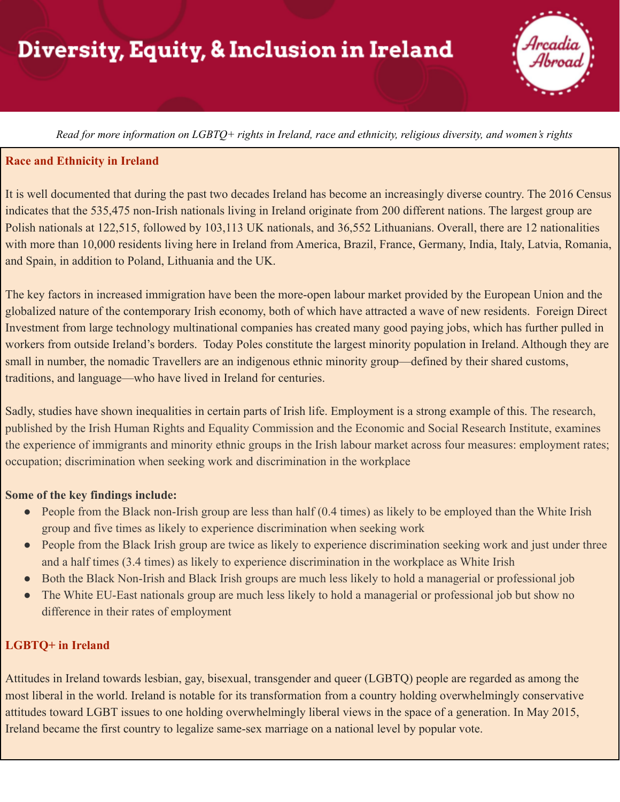# Diversity, Equity, & Inclusion in Ireland

Read for more information on LGBTO+ rights in Ireland, race and ethnicity, religious diversity, and women's rights

#### **Race and Ethnicity in Ireland**

It is well documented that during the past two decades Ireland has become an increasingly diverse country. The 2016 Census indicates that the 535,475 non-Irish nationals living in Ireland originate from 200 different nations. The largest group are Polish nationals at 122,515, followed by 103,113 UK nationals, and 36,552 Lithuanians. Overall, there are 12 nationalities with more than 10,000 residents living here in Ireland from America, Brazil, France, Germany, India, Italy, Latvia, Romania, and Spain, in addition to Poland, Lithuania and the UK.

The key factors in increased immigration have been the more-open labour market provided by the European Union and the globalized nature of the contemporary Irish economy, both of which have attracted a wave of new residents. Foreign Direct Investment from large technology multinational companies has created many good paying jobs, which has further pulled in workers from outside Ireland's borders. Today Poles constitute the largest minority population in Ireland. Although they are small in number, the nomadic Travellers are an indigenous ethnic minority group—defined by their shared customs, traditions, and language—who have lived in Ireland for centuries.

Sadly, studies have shown inequalities in certain parts of Irish life. Employment is a strong example of this. The research, published by the Irish Human Rights and Equality Commission and the Economic and Social Research Institute, examines the experience of immigrants and minority ethnic groups in the Irish labour market across four measures: employment rates; occupation; discrimination when seeking work and discrimination in the workplace

#### **Some of the key findings include:**

- People from the Black non-Irish group are less than half (0.4 times) as likely to be employed than the White Irish group and five times as likely to experience discrimination when seeking work
- People from the Black Irish group are twice as likely to experience discrimination seeking work and just under three and a half times (3.4 times) as likely to experience discrimination in the workplace as White Irish
- Both the Black Non-Irish and Black Irish groups are much less likely to hold a managerial or professional job
- The White EU-East nationals group are much less likely to hold a managerial or professional job but show no difference in their rates of employment

### **LGBTQ+ in Ireland**

Attitudes in Ireland towards lesbian, gay, bisexual, transgender and queer (LGBTQ) people are regarded as among the most liberal in the world. Ireland is notable for its transformation from a country holding overwhelmingly conservative attitudes toward LGBT issues to one holding overwhelmingly liberal views in the space of a generation. In May 2015, Ireland became the first country to legalize same-sex marriage on a national level by popular vote.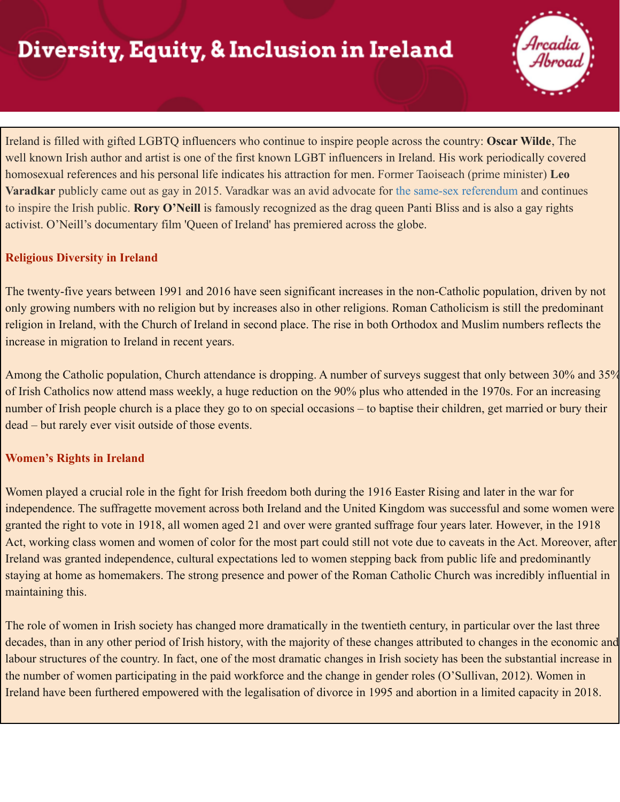# Diversity, Equity, & Inclusion in Ireland

Ireland is filled with gifted LGBTQ influencers who continue to inspire people across the country: **Oscar Wilde**, The well known Irish author and artist is one of the first known LGBT influencers in Ireland. His work periodically covered homosexual references and his personal life indicates his attraction for men. Former Taoiseach (prime minister) **Leo Varadkar** publicly came out as gay in 2015. Varadkar was an avid advocate for [the same-sex referendum](https://www.irishcentral.com/news/young-voters-were-key-to-historic-yes-for-same-sex-marriage) and continues to inspire the Irish public. **Rory O'Neill** is famously recognized as the drag queen Panti Bliss and is also a gay rights activist. O'Neill's documentary film 'Queen of Ireland' has premiered across the globe.

### **Religious Diversity in Ireland**

The twenty-five years between 1991 and 2016 have seen significant increases in the non-Catholic population, driven by not only growing numbers with no religion but by increases also in other religions. Roman Catholicism is still the predominant religion in Ireland, with the Church of Ireland in second place. The rise in both Orthodox and Muslim numbers reflects the increase in migration to Ireland in recent years.

Among the Catholic population, Church attendance is dropping. A number of surveys suggest that only between 30% and 35% of Irish Catholics now attend mass weekly, a huge reduction on the 90% plus who attended in the 1970s. For an increasing number of Irish people church is a place they go to on special occasions – to baptise their children, get married or bury their dead – but rarely ever visit outside of those events.

### **Women's Rights in Ireland**

Women played a crucial role in the fight for Irish freedom both during the 1916 Easter Rising and later in the war for independence. The suffragette movement across both Ireland and the United Kingdom was successful and some women were granted the right to vote in 1918, all women aged 21 and over were granted suffrage four years later. However, in the 1918 Act, working class women and women of color for the most part could still not vote due to caveats in the Act. Moreover, after Ireland was granted independence, cultural expectations led to women stepping back from public life and predominantly staying at home as homemakers. The strong presence and power of the Roman Catholic Church was incredibly influential in maintaining this.

The role of women in Irish society has changed more dramatically in the twentieth century, in particular over the last three decades, than in any other period of Irish history, with the majority of these changes attributed to changes in the economic and labour structures of the country. In fact, one of the most dramatic changes in Irish society has been the substantial increase in the number of women participating in the paid workforce and the change in gender roles (O'Sullivan, 2012). Women in Ireland have been furthered empowered with the legalisation of divorce in 1995 and abortion in a limited capacity in 2018.